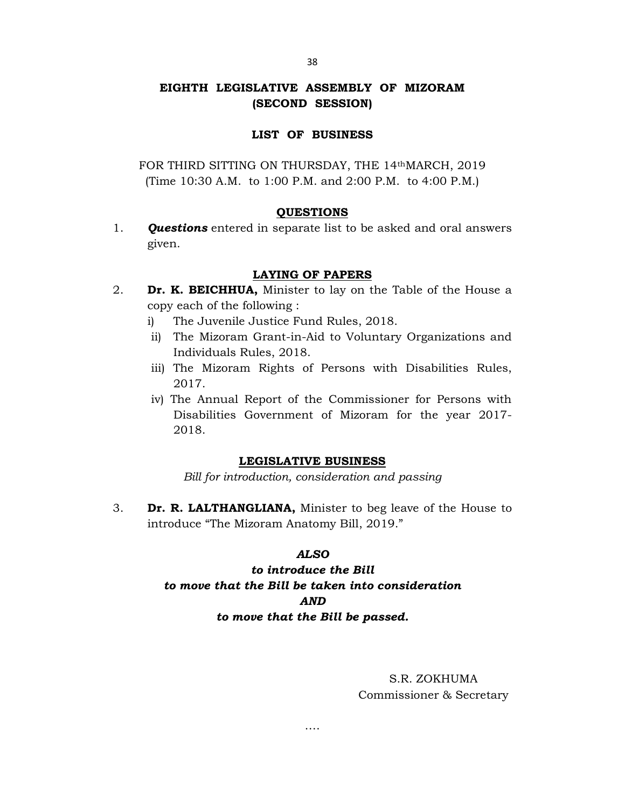## EIGHTH LEGISLATIVE ASSEMBLY OF MIZORAM (SECOND SESSION)

### LIST OF BUSINESS

FOR THIRD SITTING ON THURSDAY, THE 14thMARCH, 2019 (Time 10:30 A.M. to 1:00 P.M. and 2:00 P.M. to 4:00 P.M.)

### QUESTIONS

1. **Questions** entered in separate list to be asked and oral answers given.

## LAYING OF PAPERS

- 2. **Dr. K. BEICHHUA,** Minister to lay on the Table of the House a copy each of the following :
	- i) The Juvenile Justice Fund Rules, 2018.
	- ii) The Mizoram Grant-in-Aid to Voluntary Organizations and Individuals Rules, 2018.
	- iii) The Mizoram Rights of Persons with Disabilities Rules, 2017.
	- iv) The Annual Report of the Commissioner for Persons with Disabilities Government of Mizoram for the year 2017- 2018.

### LEGISLATIVE BUSINESS

Bill for introduction, consideration and passing

3. **Dr. R. LALTHANGLIANA,** Minister to beg leave of the House to introduce "The Mizoram Anatomy Bill, 2019."

### ALSO

# to introduce the Bill to move that the Bill be taken into consideration AND to move that the Bill be passed.

….

# S.R. ZOKHUMA Commissioner & Secretary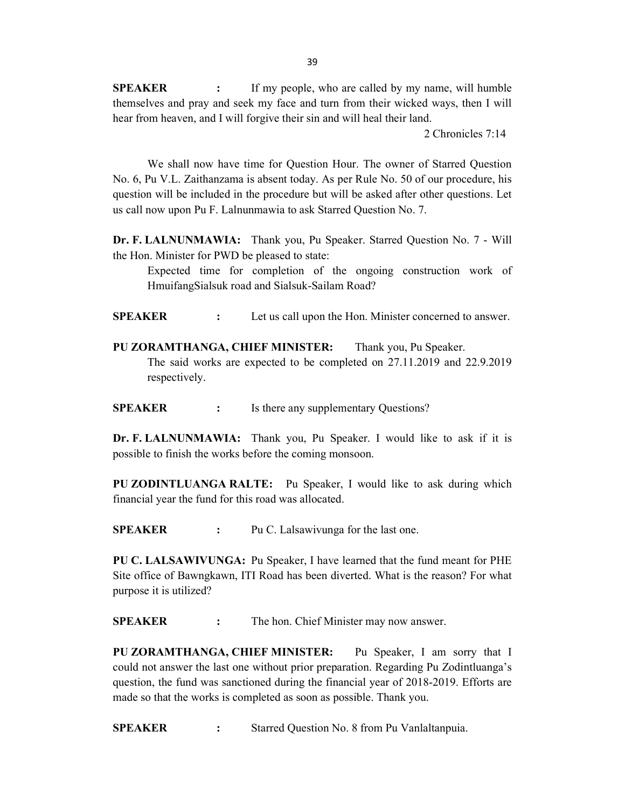**SPEAKER** : If my people, who are called by my name, will humble themselves and pray and seek my face and turn from their wicked ways, then I will hear from heaven, and I will forgive their sin and will heal their land.

2 Chronicles 7:14

 We shall now have time for Question Hour. The owner of Starred Question No. 6, Pu V.L. Zaithanzama is absent today. As per Rule No. 50 of our procedure, his question will be included in the procedure but will be asked after other questions. Let us call now upon Pu F. Lalnunmawia to ask Starred Question No. 7.

Dr. F. LALNUNMAWIA: Thank you, Pu Speaker. Starred Question No. 7 - Will the Hon. Minister for PWD be pleased to state:

Expected time for completion of the ongoing construction work of HmuifangSialsuk road and Sialsuk-Sailam Road?

SPEAKER : Let us call upon the Hon. Minister concerned to answer.

PU ZORAMTHANGA, CHIEF MINISTER: Thank you, Pu Speaker. The said works are expected to be completed on 27.11.2019 and 22.9.2019 respectively.

SPEAKER : Is there any supplementary Questions?

Dr. F. LALNUNMAWIA: Thank you, Pu Speaker. I would like to ask if it is possible to finish the works before the coming monsoon.

PU ZODINTLUANGA RALTE: Pu Speaker, I would like to ask during which financial year the fund for this road was allocated.

SPEAKER : Pu C. Lalsawivunga for the last one.

PU C. LALSAWIVUNGA: Pu Speaker, I have learned that the fund meant for PHE Site office of Bawngkawn, ITI Road has been diverted. What is the reason? For what purpose it is utilized?

SPEAKER : The hon. Chief Minister may now answer.

PU ZORAMTHANGA, CHIEF MINISTER: Pu Speaker, I am sorry that I could not answer the last one without prior preparation. Regarding Pu Zodintluanga's question, the fund was sanctioned during the financial year of 2018-2019. Efforts are made so that the works is completed as soon as possible. Thank you.

SPEAKER : Starred Question No. 8 from Pu Vanlaltanpuia.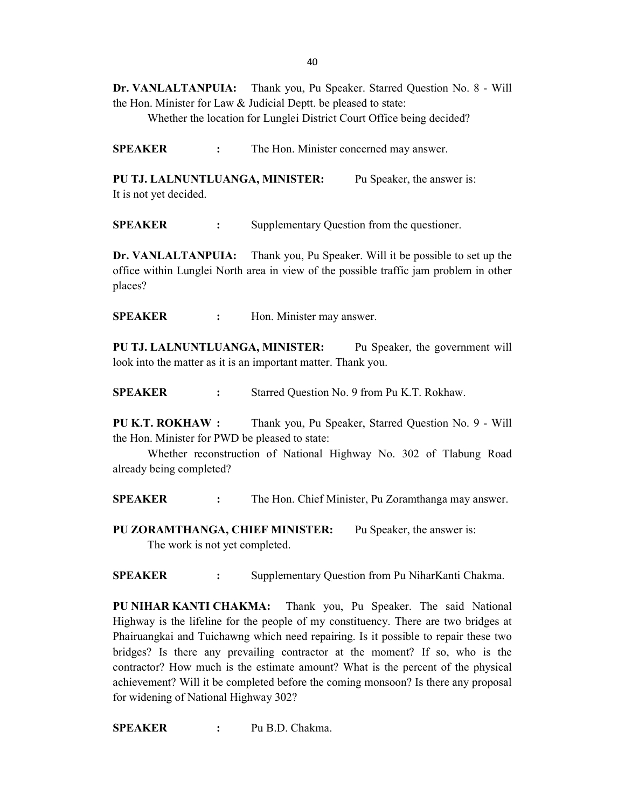40

Dr. VANLALTANPUIA: Thank you, Pu Speaker. Starred Question No. 8 - Will the Hon. Minister for Law & Judicial Deptt. be pleased to state:

Whether the location for Lunglei District Court Office being decided?

SPEAKER : The Hon. Minister concerned may answer.

PU TJ. LALNUNTLUANGA, MINISTER: Pu Speaker, the answer is: It is not yet decided.

SPEAKER : Supplementary Question from the questioner.

Dr. VANLALTANPUIA: Thank you, Pu Speaker. Will it be possible to set up the office within Lunglei North area in view of the possible traffic jam problem in other places?

SPEAKER : Hon. Minister may answer.

PU TJ. LALNUNTLUANGA, MINISTER: Pu Speaker, the government will look into the matter as it is an important matter. Thank you.

SPEAKER : Starred Question No. 9 from Pu K.T. Rokhaw.

PU K.T. ROKHAW : Thank you, Pu Speaker, Starred Question No. 9 - Will the Hon. Minister for PWD be pleased to state:

 Whether reconstruction of National Highway No. 302 of Tlabung Road already being completed?

SPEAKER : The Hon. Chief Minister, Pu Zoramthanga may answer.

PU ZORAMTHANGA, CHIEF MINISTER: Pu Speaker, the answer is: The work is not yet completed.

SPEAKER : Supplementary Question from Pu NiharKanti Chakma.

PU NIHAR KANTI CHAKMA: Thank you, Pu Speaker. The said National Highway is the lifeline for the people of my constituency. There are two bridges at Phairuangkai and Tuichawng which need repairing. Is it possible to repair these two bridges? Is there any prevailing contractor at the moment? If so, who is the contractor? How much is the estimate amount? What is the percent of the physical achievement? Will it be completed before the coming monsoon? Is there any proposal for widening of National Highway 302?

SPEAKER : Pu B.D. Chakma.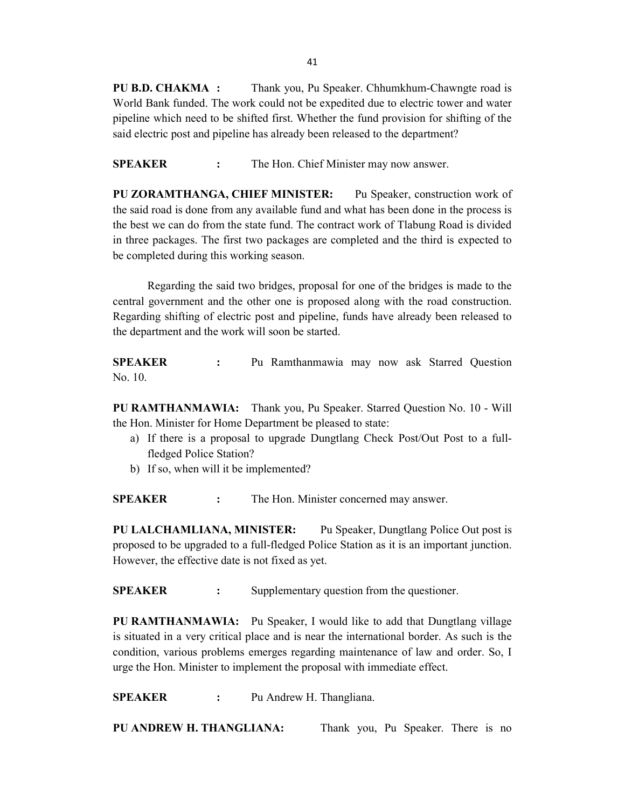PU B.D. CHAKMA : Thank you, Pu Speaker. Chhumkhum-Chawngte road is World Bank funded. The work could not be expedited due to electric tower and water pipeline which need to be shifted first. Whether the fund provision for shifting of the said electric post and pipeline has already been released to the department?

SPEAKER : The Hon. Chief Minister may now answer.

PU ZORAMTHANGA, CHIEF MINISTER: Pu Speaker, construction work of the said road is done from any available fund and what has been done in the process is the best we can do from the state fund. The contract work of Tlabung Road is divided in three packages. The first two packages are completed and the third is expected to be completed during this working season.

 Regarding the said two bridges, proposal for one of the bridges is made to the central government and the other one is proposed along with the road construction. Regarding shifting of electric post and pipeline, funds have already been released to the department and the work will soon be started.

SPEAKER : Pu Ramthanmawia may now ask Starred Question No. 10.

PU RAMTHANMAWIA: Thank you, Pu Speaker. Starred Question No. 10 - Will the Hon. Minister for Home Department be pleased to state:

- a) If there is a proposal to upgrade Dungtlang Check Post/Out Post to a fullfledged Police Station?
- b) If so, when will it be implemented?

SPEAKER : The Hon. Minister concerned may answer.

PU LALCHAMLIANA, MINISTER: Pu Speaker, Dungtlang Police Out post is proposed to be upgraded to a full-fledged Police Station as it is an important junction. However, the effective date is not fixed as yet.

SPEAKER : Supplementary question from the questioner.

PU RAMTHANMAWIA: Pu Speaker, I would like to add that Dungtlang village is situated in a very critical place and is near the international border. As such is the condition, various problems emerges regarding maintenance of law and order. So, I urge the Hon. Minister to implement the proposal with immediate effect.

SPEAKER : Pu Andrew H. Thangliana.

PU ANDREW H. THANGLIANA: Thank you, Pu Speaker. There is no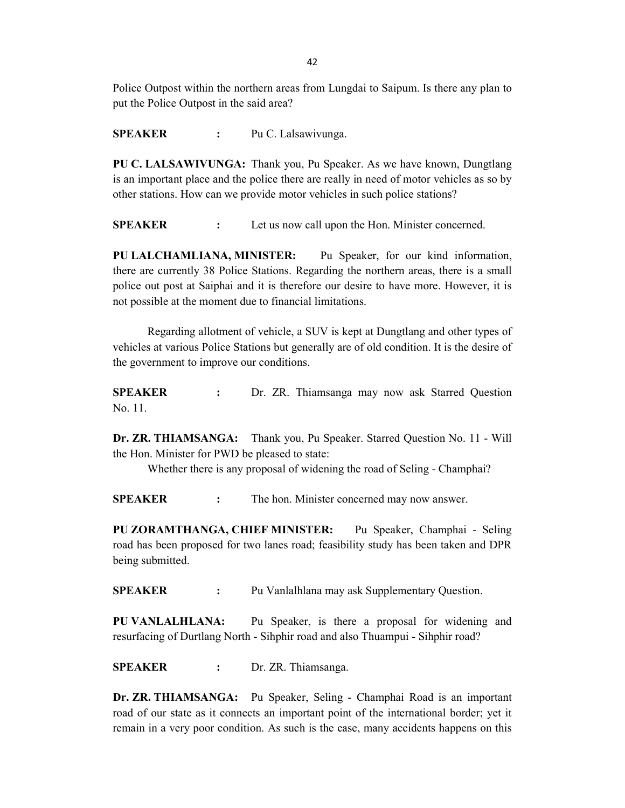Police Outpost within the northern areas from Lungdai to Saipum. Is there any plan to put the Police Outpost in the said area?

SPEAKER : Pu C. Lalsawivunga.

PU C. LALSAWIVUNGA: Thank you, Pu Speaker. As we have known, Dungtlang is an important place and the police there are really in need of motor vehicles as so by other stations. How can we provide motor vehicles in such police stations?

SPEAKER : Let us now call upon the Hon. Minister concerned.

PU LALCHAMLIANA, MINISTER: Pu Speaker, for our kind information, there are currently 38 Police Stations. Regarding the northern areas, there is a small police out post at Saiphai and it is therefore our desire to have more. However, it is not possible at the moment due to financial limitations.

 Regarding allotment of vehicle, a SUV is kept at Dungtlang and other types of vehicles at various Police Stations but generally are of old condition. It is the desire of the government to improve our conditions.

SPEAKER : Dr. ZR. Thiamsanga may now ask Starred Question No. 11.

Dr. ZR. THIAMSANGA: Thank you, Pu Speaker. Starred Question No. 11 - Will the Hon. Minister for PWD be pleased to state:

Whether there is any proposal of widening the road of Seling - Champhai?

SPEAKER : The hon. Minister concerned may now answer.

PU ZORAMTHANGA, CHIEF MINISTER: Pu Speaker, Champhai - Seling road has been proposed for two lanes road; feasibility study has been taken and DPR being submitted.

SPEAKER : Pu Vanlalhlana may ask Supplementary Question.

PU VANLALHLANA: Pu Speaker, is there a proposal for widening and resurfacing of Durtlang North - Sihphir road and also Thuampui - Sihphir road?

SPEAKER : Dr. ZR. Thiamsanga.

Dr. ZR. THIAMSANGA: Pu Speaker, Seling - Champhai Road is an important road of our state as it connects an important point of the international border; yet it remain in a very poor condition. As such is the case, many accidents happens on this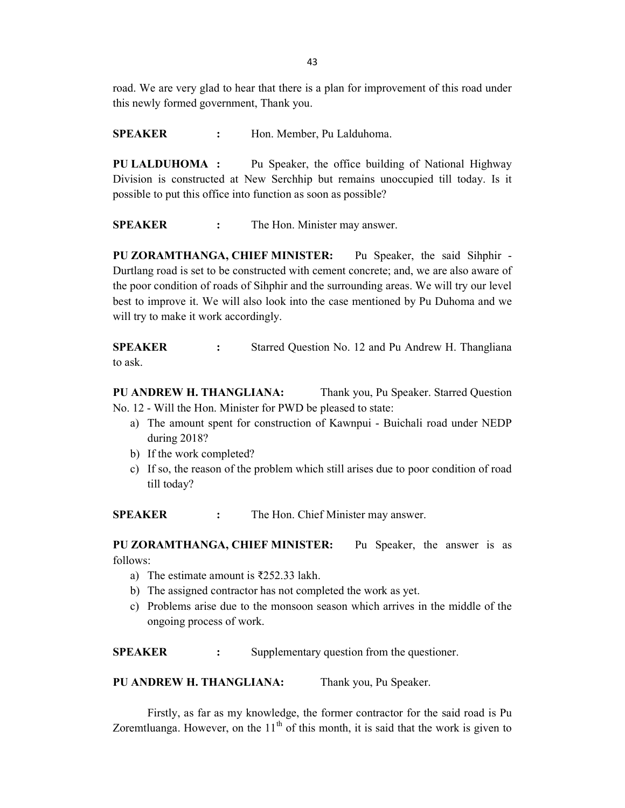road. We are very glad to hear that there is a plan for improvement of this road under this newly formed government, Thank you.

SPEAKER : Hon. Member, Pu Lalduhoma.

PU LALDUHOMA : Pu Speaker, the office building of National Highway Division is constructed at New Serchhip but remains unoccupied till today. Is it possible to put this office into function as soon as possible?

SPEAKER : The Hon. Minister may answer.

PU ZORAMTHANGA, CHIEF MINISTER: Pu Speaker, the said Sihphir - Durtlang road is set to be constructed with cement concrete; and, we are also aware of the poor condition of roads of Sihphir and the surrounding areas. We will try our level best to improve it. We will also look into the case mentioned by Pu Duhoma and we will try to make it work accordingly.

**SPEAKER** : Starred Question No. 12 and Pu Andrew H. Thangliana to ask.

PU ANDREW H. THANGLIANA: Thank you, Pu Speaker. Starred Question No. 12 - Will the Hon. Minister for PWD be pleased to state:

- a) The amount spent for construction of Kawnpui Buichali road under NEDP during 2018?
- b) If the work completed?
- c) If so, the reason of the problem which still arises due to poor condition of road till today?

**SPEAKER** : The Hon. Chief Minister may answer.

PU ZORAMTHANGA, CHIEF MINISTER: Pu Speaker, the answer is as follows:

- a) The estimate amount is ₹252.33 lakh.
- b) The assigned contractor has not completed the work as yet.
- c) Problems arise due to the monsoon season which arrives in the middle of the ongoing process of work.

SPEAKER : Supplementary question from the questioner.

PU ANDREW H. THANGLIANA: Thank you, Pu Speaker.

 Firstly, as far as my knowledge, the former contractor for the said road is Pu Zoremtluanga. However, on the  $11<sup>th</sup>$  of this month, it is said that the work is given to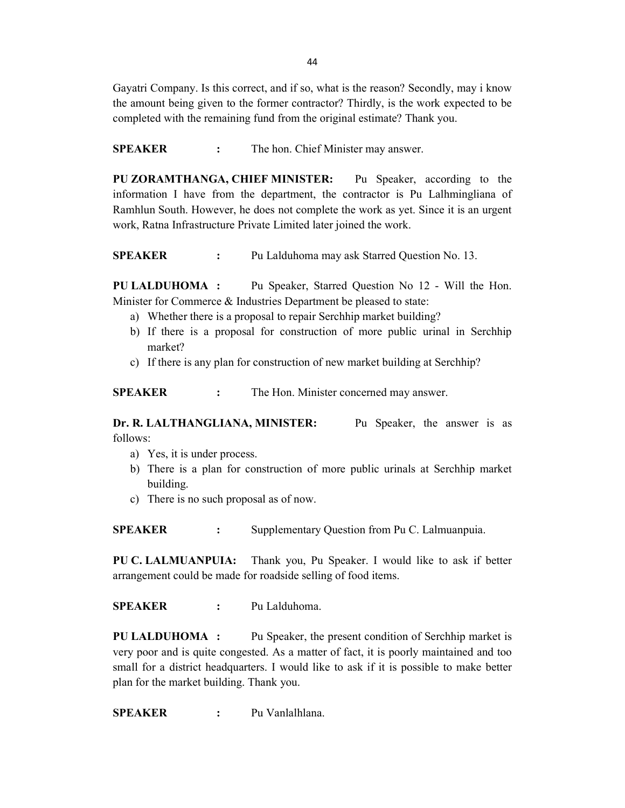Gayatri Company. Is this correct, and if so, what is the reason? Secondly, may i know the amount being given to the former contractor? Thirdly, is the work expected to be completed with the remaining fund from the original estimate? Thank you.

SPEAKER : The hon. Chief Minister may answer.

PU ZORAMTHANGA, CHIEF MINISTER: Pu Speaker, according to the information I have from the department, the contractor is Pu Lalhmingliana of Ramhlun South. However, he does not complete the work as yet. Since it is an urgent work, Ratna Infrastructure Private Limited later joined the work.

SPEAKER : Pu Lalduhoma may ask Starred Question No. 13.

PU LALDUHOMA : Pu Speaker, Starred Question No 12 - Will the Hon. Minister for Commerce & Industries Department be pleased to state:

- a) Whether there is a proposal to repair Serchhip market building?
- b) If there is a proposal for construction of more public urinal in Serchhip market?
- c) If there is any plan for construction of new market building at Serchhip?

SPEAKER : The Hon. Minister concerned may answer.

Dr. R. LALTHANGLIANA, MINISTER: Pu Speaker, the answer is as follows:

- a) Yes, it is under process.
- b) There is a plan for construction of more public urinals at Serchhip market building.
- c) There is no such proposal as of now.

SPEAKER : Supplementary Question from Pu C. Lalmuanpuia.

PU C. LALMUANPUIA: Thank you, Pu Speaker. I would like to ask if better arrangement could be made for roadside selling of food items.

SPEAKER : Pu Lalduhoma.

PU LALDUHOMA : Pu Speaker, the present condition of Serchhip market is very poor and is quite congested. As a matter of fact, it is poorly maintained and too small for a district headquarters. I would like to ask if it is possible to make better plan for the market building. Thank you.

SPEAKER : Pu Vanlalhlana.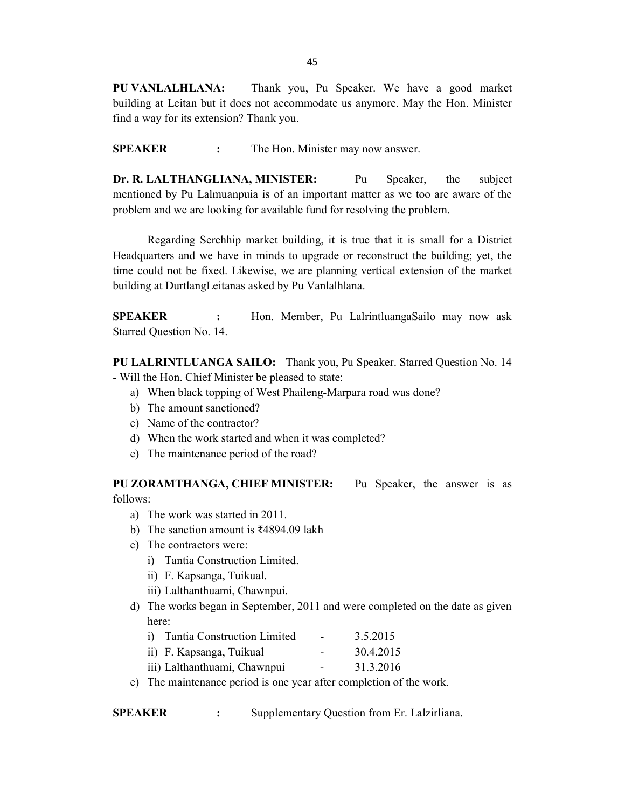PU VANLALHLANA: Thank you, Pu Speaker. We have a good market building at Leitan but it does not accommodate us anymore. May the Hon. Minister find a way for its extension? Thank you.

SPEAKER : The Hon. Minister may now answer.

Dr. R. LALTHANGLIANA, MINISTER: Pu Speaker, the subject mentioned by Pu Lalmuanpuia is of an important matter as we too are aware of the problem and we are looking for available fund for resolving the problem.

 Regarding Serchhip market building, it is true that it is small for a District Headquarters and we have in minds to upgrade or reconstruct the building; yet, the time could not be fixed. Likewise, we are planning vertical extension of the market building at DurtlangLeitanas asked by Pu Vanlalhlana.

SPEAKER : Hon. Member, Pu LalrintluangaSailo may now ask Starred Question No. 14.

PU LALRINTLUANGA SAILO: Thank you, Pu Speaker. Starred Question No. 14 - Will the Hon. Chief Minister be pleased to state:

- a) When black topping of West Phaileng-Marpara road was done?
- b) The amount sanctioned?
- c) Name of the contractor?
- d) When the work started and when it was completed?
- e) The maintenance period of the road?

PU ZORAMTHANGA, CHIEF MINISTER: Pu Speaker, the answer is as follows:

- a) The work was started in 2011.
- b) The sanction amount is ₹4894.09 lakh
- c) The contractors were:
	- i) Tantia Construction Limited.
	- ii) F. Kapsanga, Tuikual.
	- iii) Lalthanthuami, Chawnpui.
- d) The works began in September, 2011 and were completed on the date as given here:

| i) Tantia Construction Limited | $\sim$                   | 3.5.2015  |
|--------------------------------|--------------------------|-----------|
| ii) F. Kapsanga, Tuikual       | $\overline{\phantom{0}}$ | 30.4.2015 |
| iii) Lalthanthuami, Chawnpui   | $\sim$                   | 31.3.2016 |

e) The maintenance period is one year after completion of the work.

SPEAKER : Supplementary Question from Er. Lalzirliana.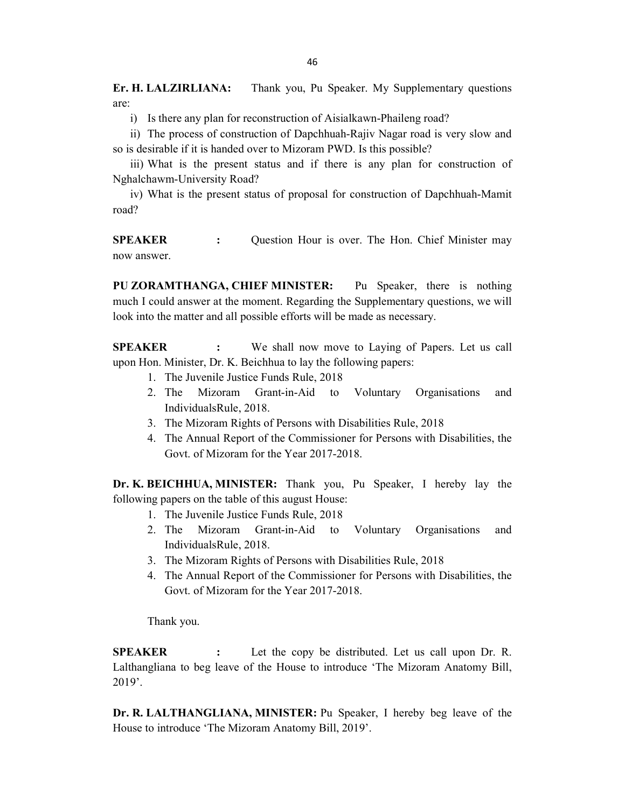Er. H. LALZIRLIANA: Thank you, Pu Speaker. My Supplementary questions are:

i) Is there any plan for reconstruction of Aisialkawn-Phaileng road?

ii) The process of construction of Dapchhuah-Rajiv Nagar road is very slow and so is desirable if it is handed over to Mizoram PWD. Is this possible?

iii) What is the present status and if there is any plan for construction of Nghalchawm-University Road?

iv) What is the present status of proposal for construction of Dapchhuah-Mamit road?

**SPEAKER** : Question Hour is over. The Hon. Chief Minister may now answer.

PU ZORAMTHANGA, CHIEF MINISTER: Pu Speaker, there is nothing much I could answer at the moment. Regarding the Supplementary questions, we will look into the matter and all possible efforts will be made as necessary.

SPEAKER : We shall now move to Laying of Papers. Let us call upon Hon. Minister, Dr. K. Beichhua to lay the following papers:

- 1. The Juvenile Justice Funds Rule, 2018
- 2. The Mizoram Grant-in-Aid to Voluntary Organisations and IndividualsRule, 2018.
- 3. The Mizoram Rights of Persons with Disabilities Rule, 2018
- 4. The Annual Report of the Commissioner for Persons with Disabilities, the Govt. of Mizoram for the Year 2017-2018.

Dr. K. BEICHHUA, MINISTER: Thank you, Pu Speaker, I hereby lay the following papers on the table of this august House:

- 1. The Juvenile Justice Funds Rule, 2018
- 2. The Mizoram Grant-in-Aid to Voluntary Organisations and IndividualsRule, 2018.
- 3. The Mizoram Rights of Persons with Disabilities Rule, 2018
- 4. The Annual Report of the Commissioner for Persons with Disabilities, the Govt. of Mizoram for the Year 2017-2018.

Thank you.

**SPEAKER** : Let the copy be distributed. Let us call upon Dr. R. Lalthangliana to beg leave of the House to introduce 'The Mizoram Anatomy Bill, 2019'.

Dr. R. LALTHANGLIANA, MINISTER: Pu Speaker, I hereby beg leave of the House to introduce 'The Mizoram Anatomy Bill, 2019'.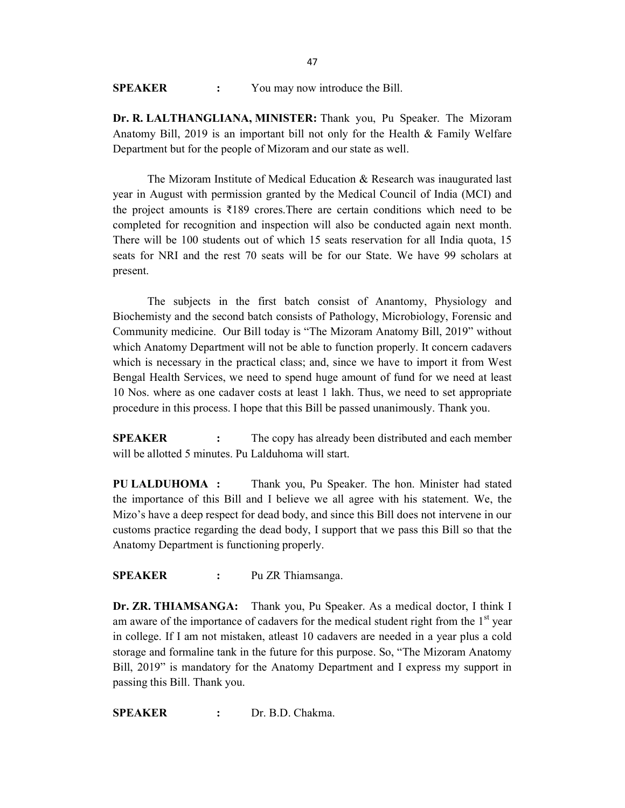| <b>SPEAKER</b> | You may now introduce the Bill. |
|----------------|---------------------------------|
|----------------|---------------------------------|

Dr. R. LALTHANGLIANA, MINISTER: Thank you, Pu Speaker. The Mizoram Anatomy Bill, 2019 is an important bill not only for the Health & Family Welfare Department but for the people of Mizoram and our state as well.

The Mizoram Institute of Medical Education & Research was inaugurated last year in August with permission granted by the Medical Council of India (MCI) and the project amounts is ₹189 crores.There are certain conditions which need to be completed for recognition and inspection will also be conducted again next month. There will be 100 students out of which 15 seats reservation for all India quota, 15 seats for NRI and the rest 70 seats will be for our State. We have 99 scholars at present.

 The subjects in the first batch consist of Anantomy, Physiology and Biochemisty and the second batch consists of Pathology, Microbiology, Forensic and Community medicine. Our Bill today is "The Mizoram Anatomy Bill, 2019" without which Anatomy Department will not be able to function properly. It concern cadavers which is necessary in the practical class; and, since we have to import it from West Bengal Health Services, we need to spend huge amount of fund for we need at least 10 Nos. where as one cadaver costs at least 1 lakh. Thus, we need to set appropriate procedure in this process. I hope that this Bill be passed unanimously. Thank you.

**SPEAKER** : The copy has already been distributed and each member will be allotted 5 minutes. Pu Lalduhoma will start.

PU LALDUHOMA : Thank you, Pu Speaker. The hon. Minister had stated the importance of this Bill and I believe we all agree with his statement. We, the Mizo's have a deep respect for dead body, and since this Bill does not intervene in our customs practice regarding the dead body, I support that we pass this Bill so that the Anatomy Department is functioning properly.

#### SPEAKER : Pu ZR Thiamsanga.

Dr. ZR. THIAMSANGA: Thank you, Pu Speaker. As a medical doctor, I think I am aware of the importance of cadavers for the medical student right from the  $1<sup>st</sup>$  year in college. If I am not mistaken, atleast 10 cadavers are needed in a year plus a cold storage and formaline tank in the future for this purpose. So, "The Mizoram Anatomy Bill, 2019" is mandatory for the Anatomy Department and I express my support in passing this Bill. Thank you.

SPEAKER : Dr. B.D. Chakma.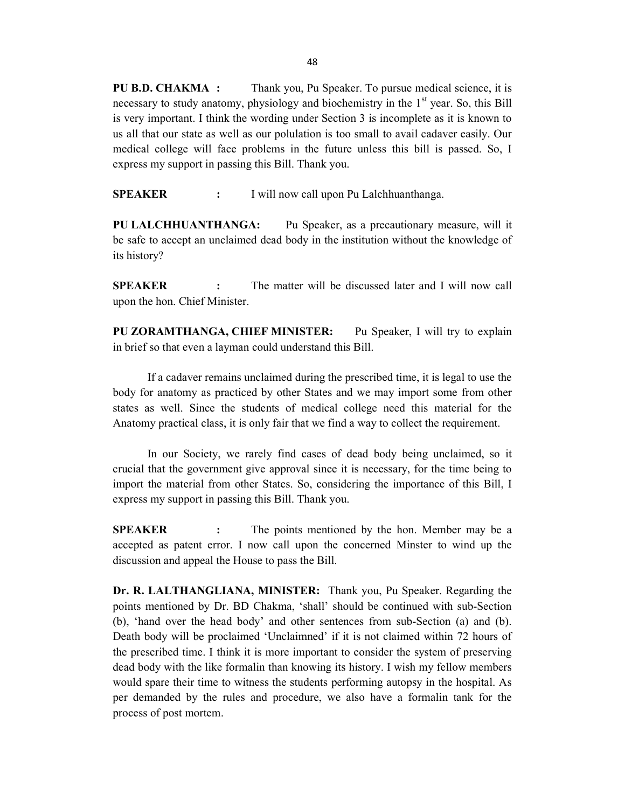PU B.D. CHAKMA : Thank you, Pu Speaker. To pursue medical science, it is necessary to study anatomy, physiology and biochemistry in the 1<sup>st</sup> year. So, this Bill is very important. I think the wording under Section 3 is incomplete as it is known to us all that our state as well as our polulation is too small to avail cadaver easily. Our medical college will face problems in the future unless this bill is passed. So, I express my support in passing this Bill. Thank you.

SPEAKER : I will now call upon Pu Lalchhuanthanga.

PU LALCHHUANTHANGA: Pu Speaker, as a precautionary measure, will it be safe to accept an unclaimed dead body in the institution without the knowledge of its history?

SPEAKER : The matter will be discussed later and I will now call upon the hon. Chief Minister.

PU ZORAMTHANGA, CHIEF MINISTER: Pu Speaker, I will try to explain in brief so that even a layman could understand this Bill.

If a cadaver remains unclaimed during the prescribed time, it is legal to use the body for anatomy as practiced by other States and we may import some from other states as well. Since the students of medical college need this material for the Anatomy practical class, it is only fair that we find a way to collect the requirement.

In our Society, we rarely find cases of dead body being unclaimed, so it crucial that the government give approval since it is necessary, for the time being to import the material from other States. So, considering the importance of this Bill, I express my support in passing this Bill. Thank you.

SPEAKER : The points mentioned by the hon. Member may be a accepted as patent error. I now call upon the concerned Minster to wind up the discussion and appeal the House to pass the Bill.

Dr. R. LALTHANGLIANA, MINISTER: Thank you, Pu Speaker. Regarding the points mentioned by Dr. BD Chakma, 'shall' should be continued with sub-Section (b), 'hand over the head body' and other sentences from sub-Section (a) and (b). Death body will be proclaimed 'Unclaimned' if it is not claimed within 72 hours of the prescribed time. I think it is more important to consider the system of preserving dead body with the like formalin than knowing its history. I wish my fellow members would spare their time to witness the students performing autopsy in the hospital. As per demanded by the rules and procedure, we also have a formalin tank for the process of post mortem.